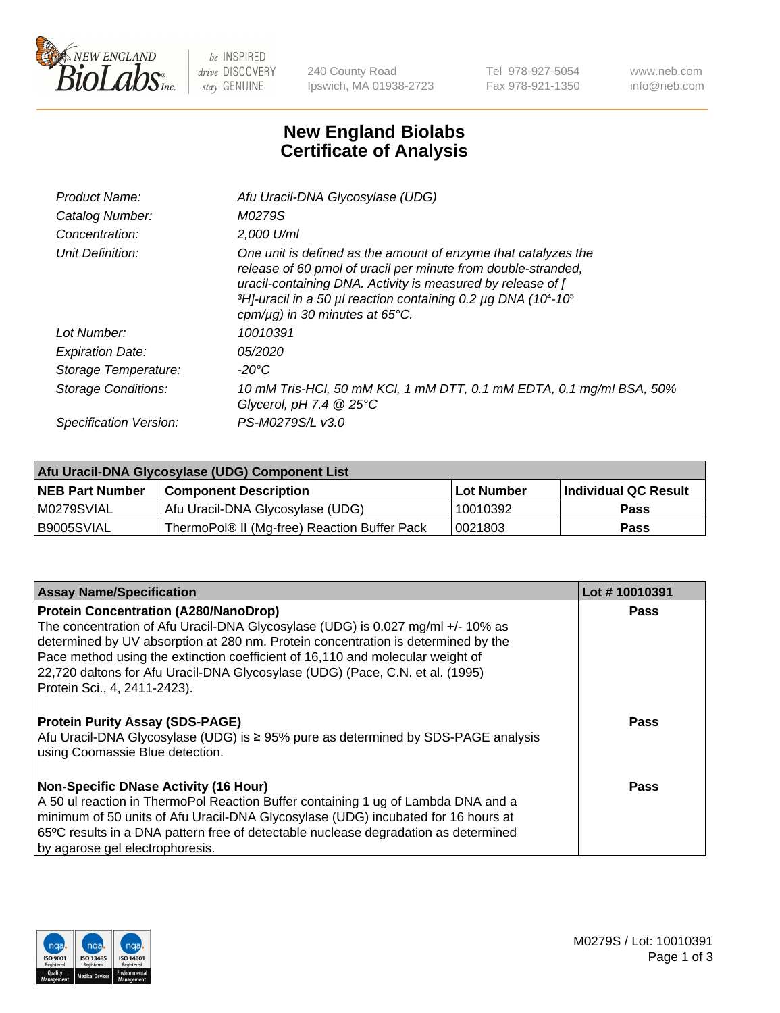

 $be$  INSPIRED drive DISCOVERY stay GENUINE

240 County Road Ipswich, MA 01938-2723 Tel 978-927-5054 Fax 978-921-1350 www.neb.com info@neb.com

## **New England Biolabs Certificate of Analysis**

| Product Name:           | Afu Uracil-DNA Glycosylase (UDG)                                                                                                                                                                                                                                                                                                     |
|-------------------------|--------------------------------------------------------------------------------------------------------------------------------------------------------------------------------------------------------------------------------------------------------------------------------------------------------------------------------------|
| Catalog Number:         | M0279S                                                                                                                                                                                                                                                                                                                               |
| Concentration:          | $2.000$ U/ml                                                                                                                                                                                                                                                                                                                         |
| Unit Definition:        | One unit is defined as the amount of enzyme that catalyzes the<br>release of 60 pmol of uracil per minute from double-stranded,<br>uracil-containing DNA. Activity is measured by release of [<br>$3H$ -uracil in a 50 µl reaction containing 0.2 µg DNA (10 <sup>4</sup> -10 <sup>5</sup> )<br>cpm/ $\mu$ g) in 30 minutes at 65°C. |
| Lot Number:             | 10010391                                                                                                                                                                                                                                                                                                                             |
| <b>Expiration Date:</b> | <i>05/2020</i>                                                                                                                                                                                                                                                                                                                       |
| Storage Temperature:    | -20°C                                                                                                                                                                                                                                                                                                                                |
| Storage Conditions:     | 10 mM Tris-HCl, 50 mM KCl, 1 mM DTT, 0.1 mM EDTA, 0.1 mg/ml BSA, 50%<br>Glycerol, pH 7.4 $@25^{\circ}C$                                                                                                                                                                                                                              |
| Specification Version:  | PS-M0279S/L v3.0                                                                                                                                                                                                                                                                                                                     |

| Afu Uracil-DNA Glycosylase (UDG) Component List |                                              |                   |                      |  |
|-------------------------------------------------|----------------------------------------------|-------------------|----------------------|--|
| <b>NEB Part Number</b>                          | <b>Component Description</b>                 | <b>Lot Number</b> | Individual QC Result |  |
| M0279SVIAL                                      | Afu Uracil-DNA Glycosylase (UDG)             | 10010392          | <b>Pass</b>          |  |
| I B9005SVIAL                                    | ThermoPol® II (Mg-free) Reaction Buffer Pack | 10021803          | Pass                 |  |

| <b>Assay Name/Specification</b>                                                                                             | Lot #10010391 |
|-----------------------------------------------------------------------------------------------------------------------------|---------------|
| <b>Protein Concentration (A280/NanoDrop)</b>                                                                                | <b>Pass</b>   |
| The concentration of Afu Uracil-DNA Glycosylase (UDG) is 0.027 mg/ml +/-10% as                                              |               |
| determined by UV absorption at 280 nm. Protein concentration is determined by the                                           |               |
| Pace method using the extinction coefficient of 16,110 and molecular weight of                                              |               |
| 22,720 daltons for Afu Uracil-DNA Glycosylase (UDG) (Pace, C.N. et al. (1995)<br>Protein Sci., 4, 2411-2423).               |               |
|                                                                                                                             |               |
| <b>Protein Purity Assay (SDS-PAGE)</b><br>Afu Uracil-DNA Glycosylase (UDG) is ≥ 95% pure as determined by SDS-PAGE analysis | Pass          |
| using Coomassie Blue detection.                                                                                             |               |
|                                                                                                                             |               |
| <b>Non-Specific DNase Activity (16 Hour)</b>                                                                                | <b>Pass</b>   |
| A 50 ul reaction in ThermoPol Reaction Buffer containing 1 ug of Lambda DNA and a                                           |               |
| minimum of 50 units of Afu Uracil-DNA Glycosylase (UDG) incubated for 16 hours at                                           |               |
| 65°C results in a DNA pattern free of detectable nuclease degradation as determined                                         |               |
| by agarose gel electrophoresis.                                                                                             |               |

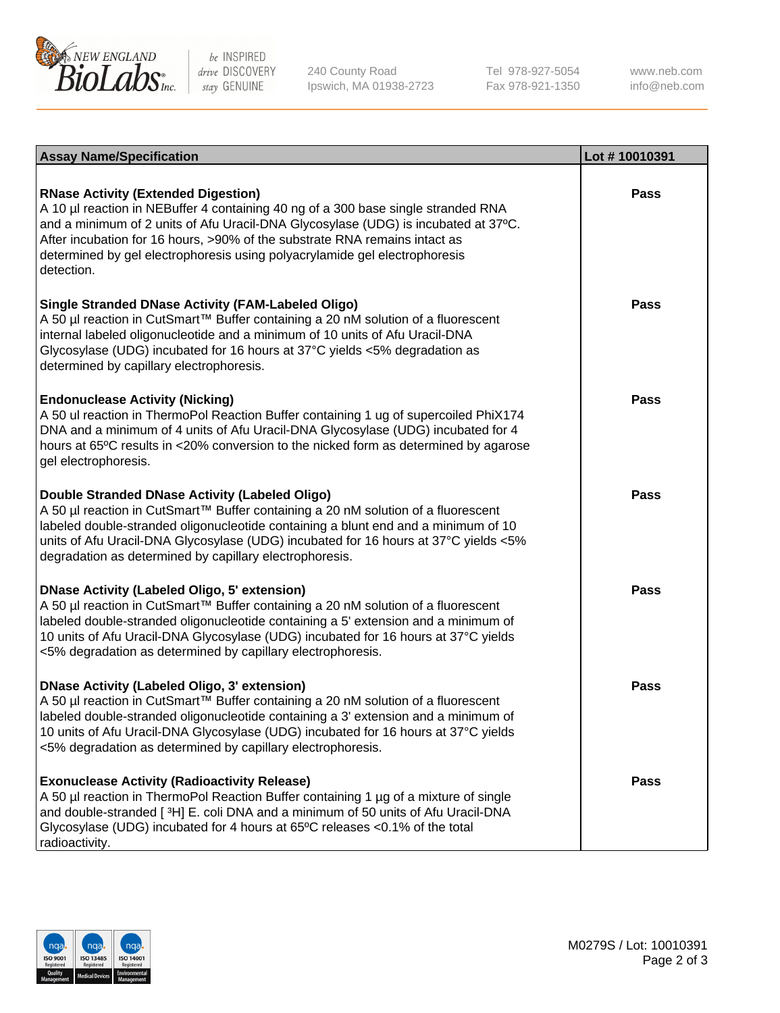

be INSPIRED drive DISCOVERY stay GENUINE

240 County Road Ipswich, MA 01938-2723 Tel 978-927-5054 Fax 978-921-1350

www.neb.com info@neb.com

| <b>Assay Name/Specification</b>                                                                                                                                                                                                                                                                                                                                                                 | Lot #10010391 |
|-------------------------------------------------------------------------------------------------------------------------------------------------------------------------------------------------------------------------------------------------------------------------------------------------------------------------------------------------------------------------------------------------|---------------|
| <b>RNase Activity (Extended Digestion)</b><br>A 10 µl reaction in NEBuffer 4 containing 40 ng of a 300 base single stranded RNA<br>and a minimum of 2 units of Afu Uracil-DNA Glycosylase (UDG) is incubated at 37°C.<br>After incubation for 16 hours, >90% of the substrate RNA remains intact as<br>determined by gel electrophoresis using polyacrylamide gel electrophoresis<br>detection. | <b>Pass</b>   |
| <b>Single Stranded DNase Activity (FAM-Labeled Oligo)</b><br>A 50 µl reaction in CutSmart™ Buffer containing a 20 nM solution of a fluorescent<br>internal labeled oligonucleotide and a minimum of 10 units of Afu Uracil-DNA<br>Glycosylase (UDG) incubated for 16 hours at 37°C yields <5% degradation as<br>determined by capillary electrophoresis.                                        | <b>Pass</b>   |
| <b>Endonuclease Activity (Nicking)</b><br>A 50 ul reaction in ThermoPol Reaction Buffer containing 1 ug of supercoiled PhiX174<br>DNA and a minimum of 4 units of Afu Uracil-DNA Glycosylase (UDG) incubated for 4<br>hours at 65°C results in <20% conversion to the nicked form as determined by agarose<br>gel electrophoresis.                                                              | <b>Pass</b>   |
| Double Stranded DNase Activity (Labeled Oligo)<br>A 50 µl reaction in CutSmart™ Buffer containing a 20 nM solution of a fluorescent<br>labeled double-stranded oligonucleotide containing a blunt end and a minimum of 10<br>units of Afu Uracil-DNA Glycosylase (UDG) incubated for 16 hours at 37°C yields <5%<br>degradation as determined by capillary electrophoresis.                     | <b>Pass</b>   |
| <b>DNase Activity (Labeled Oligo, 5' extension)</b><br>A 50 µl reaction in CutSmart™ Buffer containing a 20 nM solution of a fluorescent<br>labeled double-stranded oligonucleotide containing a 5' extension and a minimum of<br>10 units of Afu Uracil-DNA Glycosylase (UDG) incubated for 16 hours at 37°C yields<br><5% degradation as determined by capillary electrophoresis.             | <b>Pass</b>   |
| <b>DNase Activity (Labeled Oligo, 3' extension)</b><br>A 50 µl reaction in CutSmart™ Buffer containing a 20 nM solution of a fluorescent<br>labeled double-stranded oligonucleotide containing a 3' extension and a minimum of<br>10 units of Afu Uracil-DNA Glycosylase (UDG) incubated for 16 hours at 37°C yields<br><5% degradation as determined by capillary electrophoresis.             | Pass          |
| <b>Exonuclease Activity (Radioactivity Release)</b><br>A 50 µl reaction in ThermoPol Reaction Buffer containing 1 µg of a mixture of single<br>and double-stranded [3H] E. coli DNA and a minimum of 50 units of Afu Uracil-DNA<br>Glycosylase (UDG) incubated for 4 hours at 65°C releases <0.1% of the total<br>radioactivity.                                                                | Pass          |